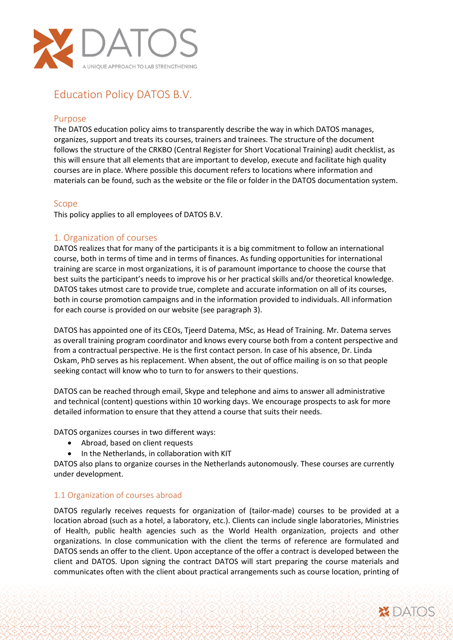

# Education Policy DATOS B.V.

#### Purpose

The DATOS education policy aims to transparently describe the way in which DATOS manages, organizes, support and treats its courses, trainers and trainees. The structure of the document follows the structure of the CRKBO (Central Register for Short Vocational Training) audit checklist, as this will ensure that all elements that are important to develop, execute and facilitate high quality courses are in place. Where possible this document refers to locations where information and materials can be found, such as the website or the file or folder in the DATOS documentation system.

#### Scope

This policy applies to all employees of DATOS B.V.

## 1. Organization of courses

DATOS realizes that for many of the participants it is a big commitment to follow an international course, both in terms of time and in terms of finances. As funding opportunities for international training are scarce in most organizations, it is of paramount importance to choose the course that best suits the participant's needs to improve his or her practical skills and/or theoretical knowledge. DATOS takes utmost care to provide true, complete and accurate information on all of its courses, both in course promotion campaigns and in the information provided to individuals. All information for each course is provided on our website (see paragraph 3).

DATOS has appointed one of its CEOs, Tjeerd Datema, MSc, as Head of Training. Mr. Datema serves as overall training program coordinator and knows every course both from a content perspective and from a contractual perspective. He is the first contact person. In case of his absence, Dr. Linda Oskam, PhD serves as his replacement. When absent, the out of office mailing is on so that people seeking contact will know who to turn to for answers to their questions.

DATOS can be reached through email, Skype and telephone and aims to answer all administrative and technical (content) questions within 10 working days. We encourage prospects to ask for more detailed information to ensure that they attend a course that suits their needs.

DATOS organizes courses in two different ways:

- Abroad, based on client requests
- In the Netherlands, in collaboration with KIT

DATOS also plans to organize courses in the Netherlands autonomously. These courses are currently under development.

#### 1.1 Organization of courses abroad

DATOS regularly receives requests for organization of (tailor-made) courses to be provided at a location abroad (such as a hotel, a laboratory, etc.). Clients can include single laboratories, Ministries of Health, public health agencies such as the World Health organization, projects and other organizations. In close communication with the client the terms of reference are formulated and DATOS sends an offer to the client. Upon acceptance of the offer a contract is developed between the client and DATOS. Upon signing the contract DATOS will start preparing the course materials and communicates often with the client about practical arrangements such as course location, printing of

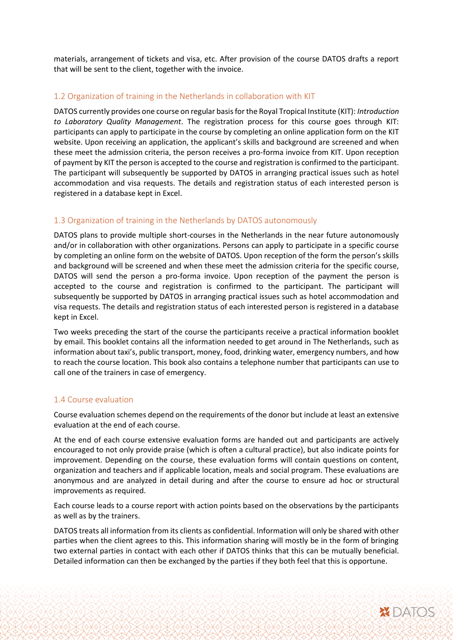materials, arrangement of tickets and visa, etc. After provision of the course DATOS drafts a report that will be sent to the client, together with the invoice.

#### 1.2 Organization of training in the Netherlands in collaboration with KIT

DATOS currently provides one course on regular basis for the Royal Tropical Institute (KIT): *Introduction to Laboratory Quality Management*. The registration process for this course goes through KIT: participants can apply to participate in the course by completing an online application form on the KIT website. Upon receiving an application, the applicant's skills and background are screened and when these meet the admission criteria, the person receives a pro-forma invoice from KIT. Upon reception of payment by KIT the person is accepted to the course and registration is confirmed to the participant. The participant will subsequently be supported by DATOS in arranging practical issues such as hotel accommodation and visa requests. The details and registration status of each interested person is registered in a database kept in Excel.

#### 1.3 Organization of training in the Netherlands by DATOS autonomously

DATOS plans to provide multiple short-courses in the Netherlands in the near future autonomously and/or in collaboration with other organizations. Persons can apply to participate in a specific course by completing an online form on the website of DATOS. Upon reception of the form the person's skills and background will be screened and when these meet the admission criteria for the specific course, DATOS will send the person a pro-forma invoice. Upon reception of the payment the person is accepted to the course and registration is confirmed to the participant. The participant will subsequently be supported by DATOS in arranging practical issues such as hotel accommodation and visa requests. The details and registration status of each interested person is registered in a database kept in Excel.

Two weeks preceding the start of the course the participants receive a practical information booklet by email. This booklet contains all the information needed to get around in The Netherlands, such as information about taxi's, public transport, money, food, drinking water, emergency numbers, and how to reach the course location. This book also contains a telephone number that participants can use to call one of the trainers in case of emergency.

#### 1.4 Course evaluation

Course evaluation schemes depend on the requirements of the donor but include at least an extensive evaluation at the end of each course.

At the end of each course extensive evaluation forms are handed out and participants are actively encouraged to not only provide praise (which is often a cultural practice), but also indicate points for improvement. Depending on the course, these evaluation forms will contain questions on content, organization and teachers and if applicable location, meals and social program. These evaluations are anonymous and are analyzed in detail during and after the course to ensure ad hoc or structural improvements as required.

Each course leads to a course report with action points based on the observations by the participants as well as by the trainers.

DATOS treats all information from its clients as confidential. Information will only be shared with other parties when the client agrees to this. This information sharing will mostly be in the form of bringing two external parties in contact with each other if DATOS thinks that this can be mutually beneficial. Detailed information can then be exchanged by the parties if they both feel that this is opportune.

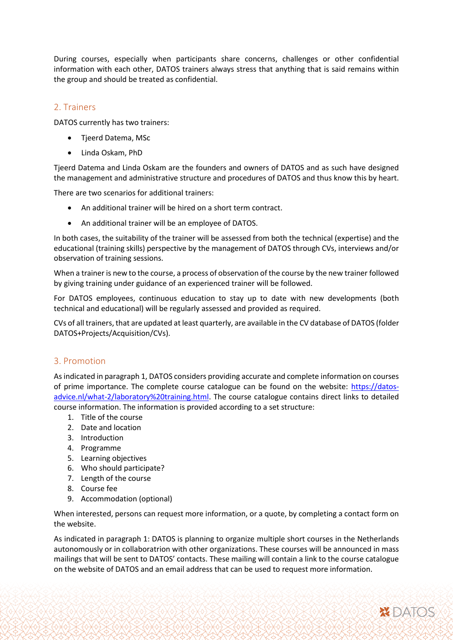During courses, especially when participants share concerns, challenges or other confidential information with each other, DATOS trainers always stress that anything that is said remains within the group and should be treated as confidential.

### 2. Trainers

DATOS currently has two trainers:

- Tjeerd Datema, MSc
- Linda Oskam, PhD

Tjeerd Datema and Linda Oskam are the founders and owners of DATOS and as such have designed the management and administrative structure and procedures of DATOS and thus know this by heart.

There are two scenarios for additional trainers:

- An additional trainer will be hired on a short term contract.
- An additional trainer will be an employee of DATOS.

In both cases, the suitability of the trainer will be assessed from both the technical (expertise) and the educational (training skills) perspective by the management of DATOS through CVs, interviews and/or observation of training sessions.

When a trainer is new to the course, a process of observation of the course by the new trainer followed by giving training under guidance of an experienced trainer will be followed.

For DATOS employees, continuous education to stay up to date with new developments (both technical and educational) will be regularly assessed and provided as required.

CVs of all trainers, that are updated at least quarterly, are available in the CV database of DATOS (folder DATOS+Projects/Acquisition/CVs).

#### 3. Promotion

As indicated in paragraph 1, DATOS considers providing accurate and complete information on courses of prime importance. The complete course catalogue can be found on the website: [https://datos](https://datos-advice.nl/what-2/laboratory%20training.html)[advice.nl/what-2/laboratory%20training.html.](https://datos-advice.nl/what-2/laboratory%20training.html) The course catalogue contains direct links to detailed course information. The information is provided according to a set structure:

- 1. Title of the course
- 2. Date and location
- 3. Introduction
- 4. Programme
- 5. Learning objectives
- 6. Who should participate?
- 7. Length of the course
- 8. Course fee
- 9. Accommodation (optional)

When interested, persons can request more information, or a quote, by completing a contact form on the website.

As indicated in paragraph 1: DATOS is planning to organize multiple short courses in the Netherlands autonomously or in collaboratrion with other organizations. These courses will be announced in mass mailings that will be sent to DATOS' contacts. These mailing will contain a link to the course catalogue on the website of DATOS and an email address that can be used to request more information.

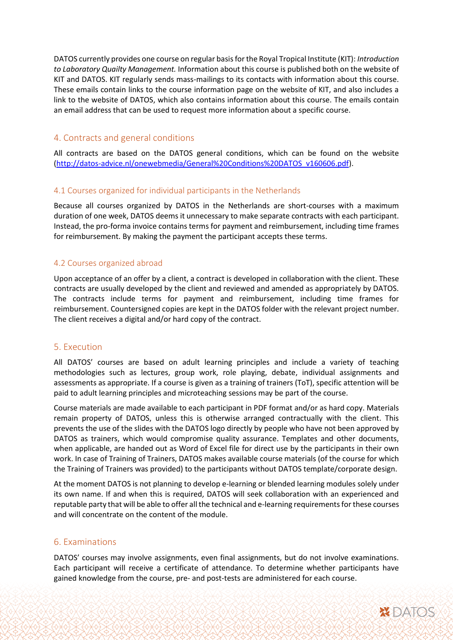DATOS currently provides one course on regular basis for the Royal Tropical Institute (KIT): *Introduction to Laboratory Quailty Management.* Information about this course is published both on the website of KIT and DATOS. KIT regularly sends mass-mailings to its contacts with information about this course. These emails contain links to the course information page on the website of KIT, and also includes a link to the website of DATOS, which also contains information about this course. The emails contain an email address that can be used to request more information about a specific course.

## 4. Contracts and general conditions

All contracts are based on the DATOS general conditions, which can be found on the website [\(http://datos-advice.nl/onewebmedia/General%20Conditions%20DATOS\\_v160606.pdf\)](http://datos-advice.nl/onewebmedia/General%20Conditions%20DATOS_v160606.pdf).

#### 4.1 Courses organized for individual participants in the Netherlands

Because all courses organized by DATOS in the Netherlands are short-courses with a maximum duration of one week, DATOS deems it unnecessary to make separate contracts with each participant. Instead, the pro-forma invoice contains terms for payment and reimbursement, including time frames for reimbursement. By making the payment the participant accepts these terms.

#### 4.2 Courses organized abroad

Upon acceptance of an offer by a client, a contract is developed in collaboration with the client. These contracts are usually developed by the client and reviewed and amended as appropriately by DATOS. The contracts include terms for payment and reimbursement, including time frames for reimbursement. Countersigned copies are kept in the DATOS folder with the relevant project number. The client receives a digital and/or hard copy of the contract.

## 5. Execution

All DATOS' courses are based on adult learning principles and include a variety of teaching methodologies such as lectures, group work, role playing, debate, individual assignments and assessments as appropriate. If a course is given as a training of trainers (ToT), specific attention will be paid to adult learning principles and microteaching sessions may be part of the course.

Course materials are made available to each participant in PDF format and/or as hard copy. Materials remain property of DATOS, unless this is otherwise arranged contractually with the client. This prevents the use of the slides with the DATOS logo directly by people who have not been approved by DATOS as trainers, which would compromise quality assurance. Templates and other documents, when applicable, are handed out as Word of Excel file for direct use by the participants in their own work. In case of Training of Trainers, DATOS makes available course materials (of the course for which the Training of Trainers was provided) to the participants without DATOS template/corporate design.

At the moment DATOS is not planning to develop e-learning or blended learning modules solely under its own name. If and when this is required, DATOS will seek collaboration with an experienced and reputable party that will be able to offer all the technical and e-learning requirements for these courses and will concentrate on the content of the module.

#### 6. Examinations

DATOS' courses may involve assignments, even final assignments, but do not involve examinations. Each participant will receive a certificate of attendance. To determine whether participants have gained knowledge from the course, pre- and post-tests are administered for each course.